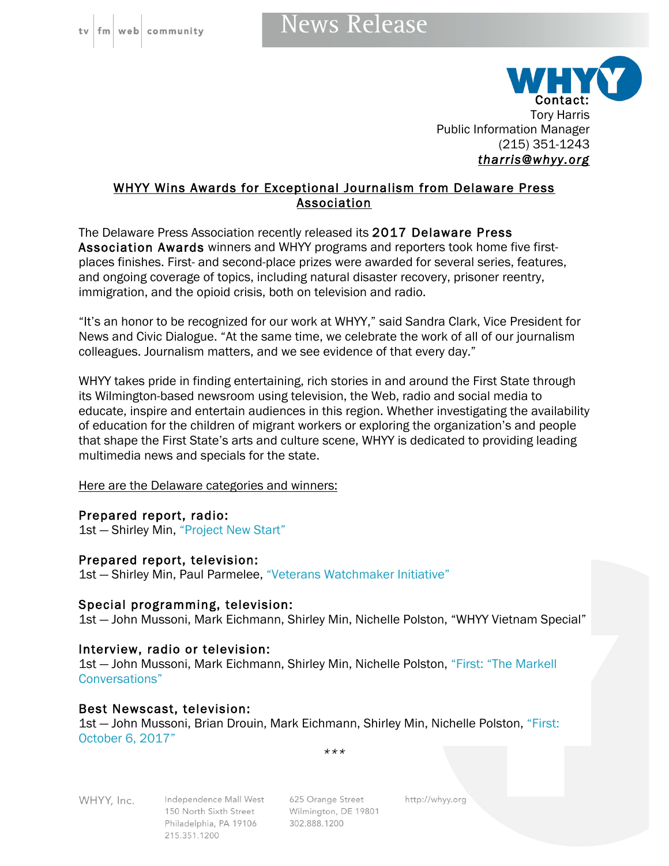## **News Release**



WHYY Wins Awards for Exceptional Journalism from Delaware Press Association

The Delaware Press Association recently released its 2017 Delaware Press Association Awards winners and WHYY programs and reporters took home five firstplaces finishes. First- and second-place prizes were awarded for several series, features, and ongoing coverage of topics, including natural disaster recovery, prisoner reentry, immigration, and the opioid crisis, both on television and radio.

"It's an honor to be recognized for our work at WHYY," said Sandra Clark, Vice President for News and Civic Dialogue. "At the same time, we celebrate the work of all of our journalism colleagues. Journalism matters, and we see evidence of that every day."

WHYY takes pride in finding entertaining, rich stories in and around the First State through its Wilmington-based newsroom using television, the Web, radio and social media to educate, inspire and entertain audiences in this region. Whether investigating the availability of education for the children of migrant workers or exploring the organization's and people that shape the First State's arts and culture scene, WHYY is dedicated to providing leading multimedia news and specials for the state.

Here are the Delaware categories and winners:

### Prepared report, radio:

1st - Shirley Min, "Project New Start"

Prepared report, television:

1st - Shirley Min, Paul Parmelee, "Veterans Watchmaker Initiative"

#### Special programming, television:

1st — John Mussoni, Mark Eichmann, Shirley Min, Nichelle Polston, "WHYY Vietnam Special"

### Interview, radio or television:

1st — John Mussoni, Mark Eichmann, Shirley Min, Nichelle Polston, "First: "The Markell Conversations"

### Best Newscast, television:

1st — John Mussoni, Brian Drouin, Mark Eichmann, Shirley Min, Nichelle Polston, "First: October 6, 2017"

*\*\*\**

WHYY, Inc.

Independence Mall West 150 North Sixth Street Philadelphia, PA 19106 215.351.1200

625 Orange Street Wilmington, DE 19801 302.888.1200

http://whyy.org